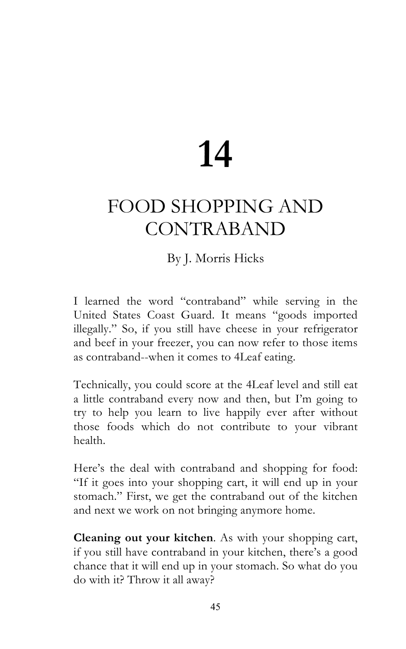## **14**

## FOOD SHOPPING AND CONTRABAND

## By J. Morris Hicks

I learned the word "contraband" while serving in the United States Coast Guard. It means "goods imported illegally." So, if you still have cheese in your refrigerator and beef in your freezer, you can now refer to those items as contraband--when it comes to 4Leaf eating.

Technically, you could score at the 4Leaf level and still eat a little contraband every now and then, but I'm going to try to help you learn to live happily ever after without those foods which do not contribute to your vibrant health.

Here's the deal with contraband and shopping for food: "If it goes into your shopping cart, it will end up in your stomach." First, we get the contraband out of the kitchen and next we work on not bringing anymore home.

**Cleaning out your kitchen**. As with your shopping cart, if you still have contraband in your kitchen, there's a good chance that it will end up in your stomach. So what do you do with it? Throw it all away?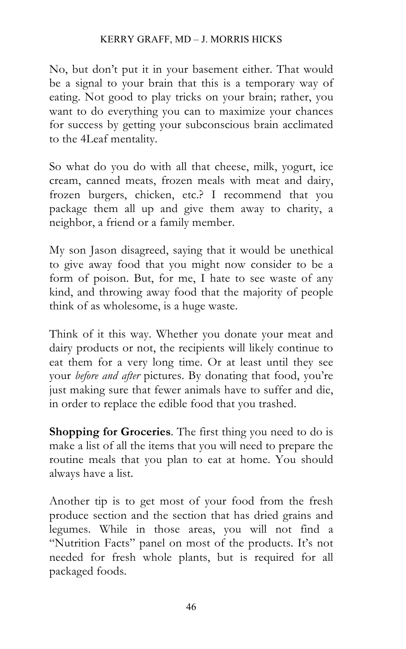No, but don't put it in your basement either. That would be a signal to your brain that this is a temporary way of eating. Not good to play tricks on your brain; rather, you want to do everything you can to maximize your chances for success by getting your subconscious brain acclimated to the 4Leaf mentality.

So what do you do with all that cheese, milk, yogurt, ice cream, canned meats, frozen meals with meat and dairy, frozen burgers, chicken, etc.? I recommend that you package them all up and give them away to charity, a neighbor, a friend or a family member.

My son Jason disagreed, saying that it would be unethical to give away food that you might now consider to be a form of poison. But, for me, I hate to see waste of any kind, and throwing away food that the majority of people think of as wholesome, is a huge waste.

Think of it this way. Whether you donate your meat and dairy products or not, the recipients will likely continue to eat them for a very long time. Or at least until they see your *before and after* pictures. By donating that food, you're just making sure that fewer animals have to suffer and die, in order to replace the edible food that you trashed.

**Shopping for Groceries**. The first thing you need to do is make a list of all the items that you will need to prepare the routine meals that you plan to eat at home. You should always have a list.

Another tip is to get most of your food from the fresh produce section and the section that has dried grains and legumes. While in those areas, you will not find a "Nutrition Facts" panel on most of the products. It's not needed for fresh whole plants, but is required for all packaged foods.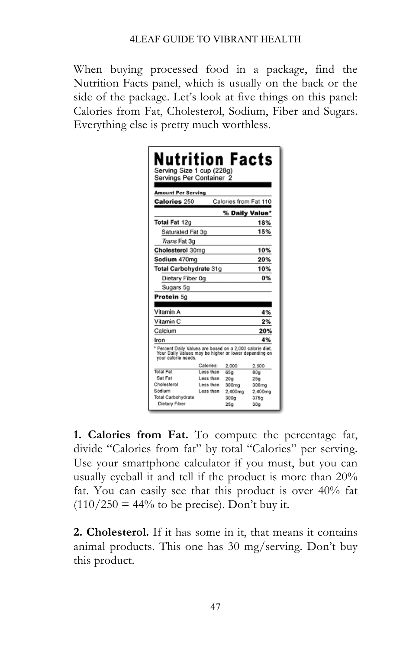When buying processed food in a package, find the Nutrition Facts panel, which is usually on the back or the side of the package. Let's look at five things on this panel: Calories from Fat, Cholesterol, Sodium, Fiber and Sugars. Everything else is pretty much worthless.

|                                                                                                                                           | Servings Per Container 2 |                       |                  |
|-------------------------------------------------------------------------------------------------------------------------------------------|--------------------------|-----------------------|------------------|
|                                                                                                                                           |                          |                       |                  |
| <b>Amount Per Serving</b>                                                                                                                 |                          |                       |                  |
| <b>Calories 250</b>                                                                                                                       |                          | Calories from Fat 110 |                  |
|                                                                                                                                           |                          | % Daily Value*        |                  |
| Total Fat 12g                                                                                                                             |                          |                       | 18%              |
| Saturated Fat 3g                                                                                                                          |                          |                       | 15%              |
| <i>Trans</i> Fat 3g                                                                                                                       |                          |                       |                  |
| Cholesterol 30mg                                                                                                                          |                          |                       | 10%              |
| Sodium 470mg                                                                                                                              |                          |                       | 20%              |
| Total Carbohydrate 31g                                                                                                                    |                          |                       | 10%              |
| Dietary Fiber 0g                                                                                                                          |                          |                       | 0%               |
| Sugars 5g                                                                                                                                 |                          |                       |                  |
| Protein 5g                                                                                                                                |                          |                       |                  |
|                                                                                                                                           |                          |                       |                  |
| Vitamin A                                                                                                                                 |                          |                       | 4%               |
| Vitamin C                                                                                                                                 |                          |                       | 2%               |
| Calcium                                                                                                                                   |                          |                       | 20%              |
| Iron                                                                                                                                      |                          |                       | 4%               |
| * Percent Daily Values are based on a 2,000 calorie diet.<br>Your Daily Values may be higher or lower depending on<br>your calorie needs. |                          |                       |                  |
|                                                                                                                                           | Calones:<br>Less than    | 2.000                 | 2,500            |
|                                                                                                                                           |                          | 65a                   | 80a              |
| Sat Fat                                                                                                                                   |                          |                       |                  |
|                                                                                                                                           | Less than<br>Less than   | 20 <sub>0</sub>       | 25 <sub>0</sub>  |
| Sodium                                                                                                                                    | Less than                | 300mg<br>2.400mg      | 300mg<br>2.400mg |
| Total Fat<br>Cholesterol<br>Total Carbohydrate                                                                                            |                          | 300g                  | 375a             |

**1. Calories from Fat.** To compute the percentage fat, divide "Calories from fat" by total "Calories" per serving. Use your smartphone calculator if you must, but you can usually eyeball it and tell if the product is more than 20% fat. You can easily see that this product is over 40% fat  $(110/250 = 44\%$  to be precise). Don't buy it.

**2. Cholesterol.** If it has some in it, that means it contains animal products. This one has 30 mg/serving. Don't buy this product.